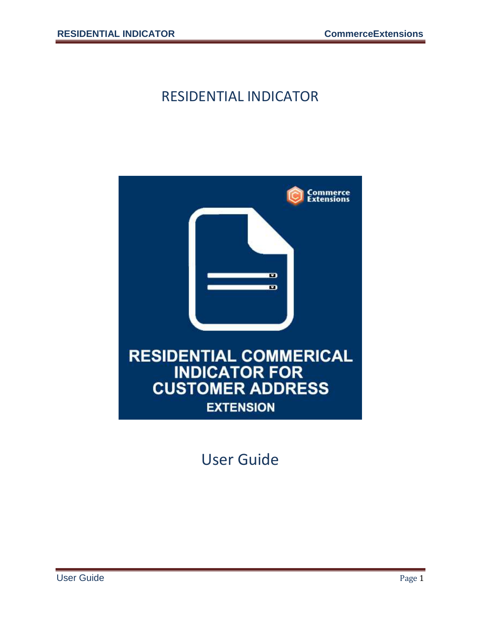#### RESIDENTIAL INDICATOR



User Guide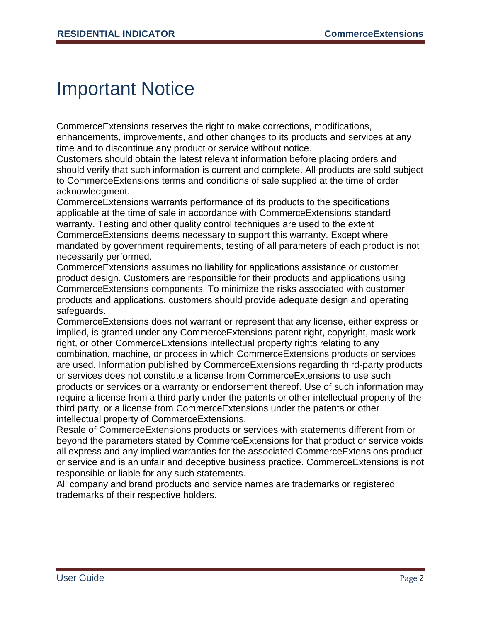### Important Notice

CommerceExtensions reserves the right to make corrections, modifications, enhancements, improvements, and other changes to its products and services at any time and to discontinue any product or service without notice.

Customers should obtain the latest relevant information before placing orders and should verify that such information is current and complete. All products are sold subject to CommerceExtensions terms and conditions of sale supplied at the time of order acknowledgment.

CommerceExtensions warrants performance of its products to the specifications applicable at the time of sale in accordance with CommerceExtensions standard warranty. Testing and other quality control techniques are used to the extent CommerceExtensions deems necessary to support this warranty. Except where mandated by government requirements, testing of all parameters of each product is not necessarily performed.

CommerceExtensions assumes no liability for applications assistance or customer product design. Customers are responsible for their products and applications using CommerceExtensions components. To minimize the risks associated with customer products and applications, customers should provide adequate design and operating safeguards.

CommerceExtensions does not warrant or represent that any license, either express or implied, is granted under any CommerceExtensions patent right, copyright, mask work right, or other CommerceExtensions intellectual property rights relating to any combination, machine, or process in which CommerceExtensions products or services are used. Information published by CommerceExtensions regarding third-party products or services does not constitute a license from CommerceExtensions to use such products or services or a warranty or endorsement thereof. Use of such information may require a license from a third party under the patents or other intellectual property of the third party, or a license from CommerceExtensions under the patents or other intellectual property of CommerceExtensions.

Resale of CommerceExtensions products or services with statements different from or beyond the parameters stated by CommerceExtensions for that product or service voids all express and any implied warranties for the associated CommerceExtensions product or service and is an unfair and deceptive business practice. CommerceExtensions is not responsible or liable for any such statements.

All company and brand products and service names are trademarks or registered trademarks of their respective holders.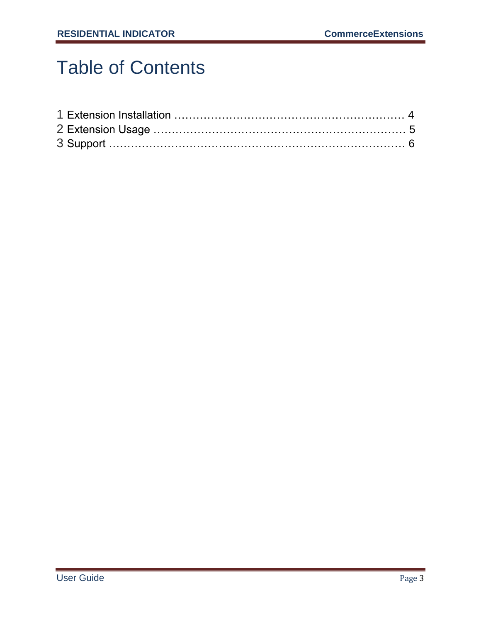# Table of Contents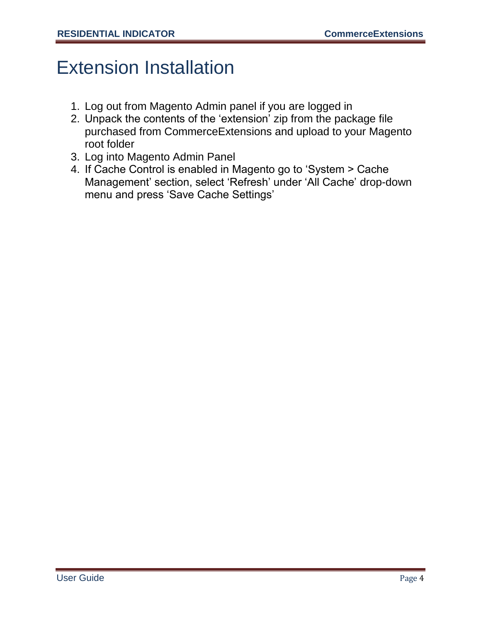## Extension Installation

- 1. Log out from Magento Admin panel if you are logged in
- 2. Unpack the contents of the "extension" zip from the package file purchased from CommerceExtensions and upload to your Magento root folder
- 3. Log into Magento Admin Panel
- 4. If Cache Control is enabled in Magento go to "System > Cache Management" section, select "Refresh" under "All Cache" drop-down menu and press "Save Cache Settings"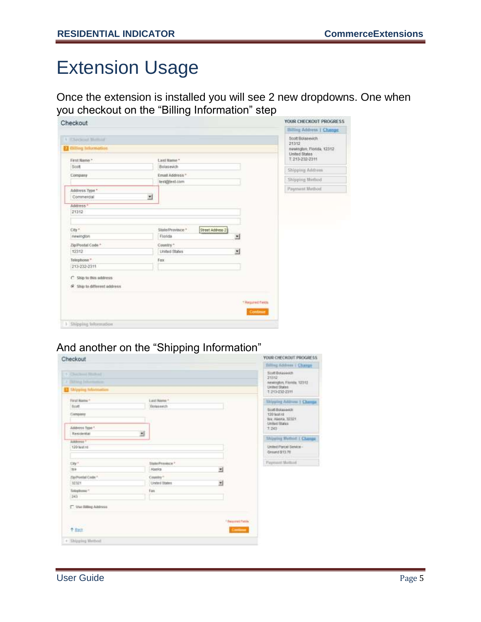### Extension Usage

Once the extension is installed you will see 2 new dropdowns. One when you checkout on the "Billing Information" step

| Checkout<br>A Thecapat Momad<br>El Billing beformation<br>First Name?<br>List Name* | Billing Address   Change:<br>Scott Bolasevich<br>21312<br>newington Florida, 12312<br>Linited States<br><b>MARKET</b> |
|-------------------------------------------------------------------------------------|-----------------------------------------------------------------------------------------------------------------------|
|                                                                                     |                                                                                                                       |
|                                                                                     |                                                                                                                       |
|                                                                                     | 1213-232-2311                                                                                                         |
| Sort<br>Bolasevich                                                                  | Shipping Address                                                                                                      |
| Email Address."<br>Company<br>test@lest.com                                         | Shipping Method                                                                                                       |
| Address Type *                                                                      | Payment Method                                                                                                        |
| 킈<br>Commercial                                                                     |                                                                                                                       |
| Address *                                                                           |                                                                                                                       |
| 21312                                                                               |                                                                                                                       |
|                                                                                     |                                                                                                                       |
| City *<br>State/Province."                                                          | Street Address 2                                                                                                      |
| newington<br>Florida                                                                | 븨                                                                                                                     |
| Zip/Postal Code *<br>Country."                                                      |                                                                                                                       |
| 12312<br>Linited States                                                             | 뇌                                                                                                                     |
| Telephone *<br>Fax:                                                                 |                                                                                                                       |
| 213-232-2311                                                                        |                                                                                                                       |
| C - Ship to this address                                                            |                                                                                                                       |
| G. She to different address.                                                        |                                                                                                                       |
|                                                                                     |                                                                                                                       |
|                                                                                     |                                                                                                                       |
|                                                                                     | <b>TRagued Felds</b>                                                                                                  |
|                                                                                     | Continue                                                                                                              |
| 3 Shipping Information                                                              |                                                                                                                       |

#### And another on the "Shipping Information"

|                              |                                                   | YOUR CHECKOUT PROGRESS                                                                                           |
|------------------------------|---------------------------------------------------|------------------------------------------------------------------------------------------------------------------|
|                              |                                                   | <b>Billing 6ddress   Change</b>                                                                                  |
|                              |                                                   | <b>Sout Bolasevich</b><br>21112<br><b>HOLLY</b><br>neweights, Floreite, 12312<br>United States<br>1:213-232-2311 |
| Last Name *                  |                                                   | <b>Showing Address 1 Change</b>                                                                                  |
| Botasseich                   |                                                   | <b>Scott Bolga even</b><br>120 leatist<br>Sac. Allance, 32321<br><b><i>United States</i></b>                     |
|                              |                                                   | 120                                                                                                              |
|                              |                                                   | Shiashey Muthod: J. Change                                                                                       |
|                              |                                                   | Unled Parcel Senior -<br>Dreuto \$13.78                                                                          |
| State/Frankista <sup>2</sup> |                                                   | Payment Method                                                                                                   |
|                              |                                                   |                                                                                                                  |
|                              |                                                   |                                                                                                                  |
| Fax                          |                                                   |                                                                                                                  |
|                              |                                                   |                                                                                                                  |
|                              | <sup>1</sup> Resurvit Patche<br><b>Comment</b>    |                                                                                                                  |
|                              | zī<br><b>Atesics</b><br>Country"<br>United States | 쁴<br>2Í                                                                                                          |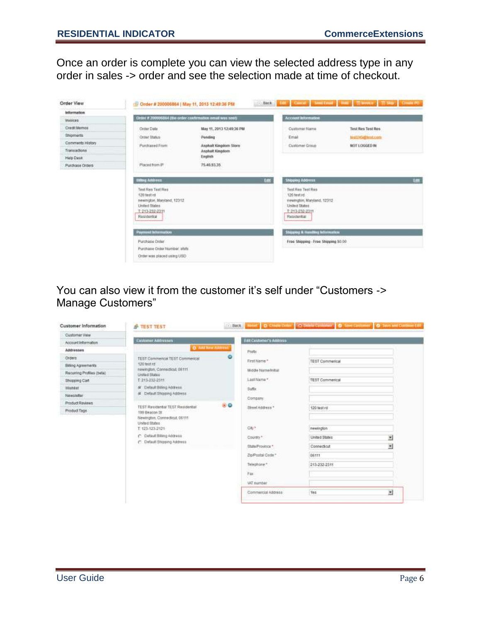Once an order is complete you can view the selected address type in any order in sales -> order and see the selection made at time of checkout.



You can also view it from the customer it's self under "Customers -> Manage Customers"

| <b>Customer Information</b>                                                                                                                                                                         | <b>P TEST TEST</b>                               |                                                   |                                | all SSS apud D Chan Date   O Debit Column   O See Centriner   O See and Column Ltd. |                |
|-----------------------------------------------------------------------------------------------------------------------------------------------------------------------------------------------------|--------------------------------------------------|---------------------------------------------------|--------------------------------|-------------------------------------------------------------------------------------|----------------|
| Customer View                                                                                                                                                                                       |                                                  |                                                   |                                |                                                                                     |                |
| Account Information                                                                                                                                                                                 | <b>Customer Addresses</b>                        |                                                   | <b>Edit Customer's Address</b> |                                                                                     |                |
| Addresses                                                                                                                                                                                           | <b>Q</b> Add line address                        |                                                   | <b>Prefix</b>                  |                                                                                     |                |
| Orderis                                                                                                                                                                                             | TEST Commencal TEST Commerical                   |                                                   | First Name *                   | <b>TEST Commerical</b>                                                              |                |
| <b>Billing Agreements</b>                                                                                                                                                                           | 120 test rd                                      |                                                   |                                |                                                                                     |                |
| Recurring Profiles (beta)                                                                                                                                                                           | newington, Connecticut, 06111.<br>United States: |                                                   | Middle Name/initial            |                                                                                     |                |
| Shopping Cart                                                                                                                                                                                       | T: 213-232-2311                                  |                                                   | Last Mame *                    | <b>TEST Commerical</b>                                                              |                |
| Wishist                                                                                                                                                                                             | # Default Billing Address                        |                                                   | Suffix                         |                                                                                     |                |
| Newsletter                                                                                                                                                                                          | G Default Shipping Address                       |                                                   | Company.                       |                                                                                     |                |
| Product Reviews                                                                                                                                                                                     |                                                  | 80                                                |                                |                                                                                     |                |
| TEST Residental TEST Residential<br>Product Tags<br>199 Beacon St<br>Newington, Connecticut, 06111<br>United States<br>T: 123-123-2121<br>C Default Billing Address<br>(*) Default Shipping Address |                                                  |                                                   | Street Address *               | 120 test rd                                                                         |                |
|                                                                                                                                                                                                     |                                                  | City*<br>Country <sup>*</sup><br>State/Frovince * |                                |                                                                                     |                |
|                                                                                                                                                                                                     |                                                  |                                                   |                                | newington                                                                           |                |
|                                                                                                                                                                                                     |                                                  |                                                   |                                |                                                                                     |                |
|                                                                                                                                                                                                     |                                                  |                                                   |                                | <b>United States</b>                                                                | ×              |
|                                                                                                                                                                                                     |                                                  |                                                   |                                | Connecticut                                                                         | ¥,             |
|                                                                                                                                                                                                     |                                                  |                                                   | Zip/Postal Code."              | 06111                                                                               |                |
|                                                                                                                                                                                                     |                                                  |                                                   | Telephone."                    | 213-232-2311                                                                        |                |
|                                                                                                                                                                                                     |                                                  | Fax:<br>WZ number                                 |                                |                                                                                     |                |
|                                                                                                                                                                                                     |                                                  |                                                   |                                |                                                                                     |                |
|                                                                                                                                                                                                     |                                                  |                                                   |                                |                                                                                     |                |
|                                                                                                                                                                                                     |                                                  |                                                   | Commercial Address             | Yes.                                                                                | $\overline{z}$ |